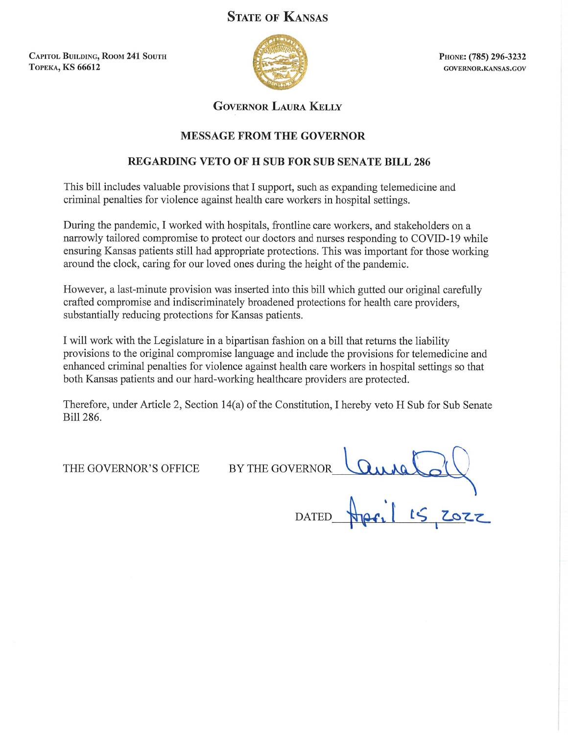# **STATE OF KANSAS**

**CAPITOL BUILDING, ROOM 241 SOUTH ТОРЕКА, KS 66612** 



PHONE: (785) 296-3232 GOVERNOR.KANSAS.GOV

## **GOVERNOR LAURA KELLY**

## **MESSAGE FROM THE GOVERNOR**

## **REGARDING VETO OF H SUB FOR SUB SENATE BILL 286**

This bill includes valuable provisions that I support, such as expanding telemedicine and criminal penalties for violence against health care workers in hospital settings.

During the pandemic, I worked with hospitals, frontline care workers, and stakeholders on a narrowly tailored compromise to protect our doctors and nurses responding to COVID-19 while ensuring Kansas patients still had appropriate protections. This was important for those working around the clock, caring for our loved ones during the height of the pandemic.

However, a last-minute provision was inserted into this bill which gutted our original carefully crafted compromise and indiscriminately broadened protections for health care providers. substantially reducing protections for Kansas patients.

I will work with the Legislature in a bipartisan fashion on a bill that returns the liability provisions to the original compromise language and include the provisions for telemedicine and enhanced criminal penalties for violence against health care workers in hospital settings so that both Kansas patients and our hard-working healthcare providers are protected.

Therefore, under Article 2, Section 14(a) of the Constitution, I hereby veto H Sub for Sub Senate Bill 286.

THE GOVERNOR'S OFFICE

BY THE GOVERNOR COUNCIL OF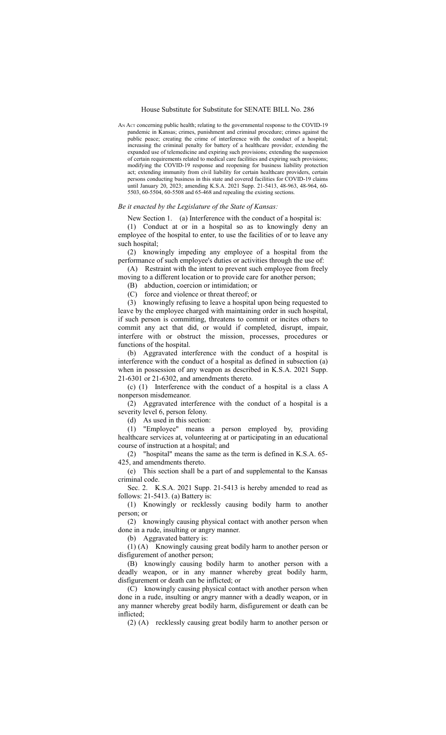AN ACT concerning public health; relating to the governmental response to the COVID-19 pandemic in Kansas; crimes, punishment and criminal procedure; crimes against the public peace; creating the crime of interference with the conduct of a hospital; increasing the criminal penalty for battery of a healthcare provider; extending the expanded use of telemedicine and expiring such provisions; extending the suspension of certain requirements related to medical care facilities and expiring such provisions; modifying the COVID-19 response and reopening for business liability protection act; extending immunity from civil liability for certain healthcare providers, certain persons conducting business in this state and covered facilities for COVID-19 claims until January 20, 2023; amending K.S.A. 2021 Supp. 21-5413, 48-963, 48-964, 60- 5503, 60-5504, 60-5508 and 65-468 and repealing the existing sections.

#### *Be it enacted by the Legislature of the State of Kansas:*

New Section 1. (a) Interference with the conduct of a hospital is:

(1) Conduct at or in a hospital so as to knowingly deny an employee of the hospital to enter, to use the facilities of or to leave any such hospital;

(2) knowingly impeding any employee of a hospital from the performance of such employee's duties or activities through the use of:

(A) Restraint with the intent to prevent such employee from freely moving to a different location or to provide care for another person;

(B) abduction, coercion or intimidation; or

(C) force and violence or threat thereof; or

(3) knowingly refusing to leave a hospital upon being requested to leave by the employee charged with maintaining order in such hospital, if such person is committing, threatens to commit or incites others to commit any act that did, or would if completed, disrupt, impair, interfere with or obstruct the mission, processes, procedures or functions of the hospital.

(b) Aggravated interference with the conduct of a hospital is interference with the conduct of a hospital as defined in subsection (a) when in possession of any weapon as described in K.S.A. 2021 Supp. 21-6301 or 21-6302, and amendments thereto.

(c) (1) Interference with the conduct of a hospital is a class A nonperson misdemeanor.

(2) Aggravated interference with the conduct of a hospital is a severity level 6, person felony.

(d) As used in this section:

(1) "Employee" means a person employed by, providing healthcare services at, volunteering at or participating in an educational course of instruction at a hospital; and

(2) "hospital" means the same as the term is defined in K.S.A. 65- 425, and amendments thereto.

(e) This section shall be a part of and supplemental to the Kansas criminal code.

Sec. 2. K.S.A. 2021 Supp. 21-5413 is hereby amended to read as follows: 21-5413. (a) Battery is:

(1) Knowingly or recklessly causing bodily harm to another person; or

(2) knowingly causing physical contact with another person when done in a rude, insulting or angry manner.

(b) Aggravated battery is:

(1) (A) Knowingly causing great bodily harm to another person or disfigurement of another person;

(B) knowingly causing bodily harm to another person with a deadly weapon, or in any manner whereby great bodily harm, disfigurement or death can be inflicted; or

(C) knowingly causing physical contact with another person when done in a rude, insulting or angry manner with a deadly weapon, or in any manner whereby great bodily harm, disfigurement or death can be inflicted;

(2) (A) recklessly causing great bodily harm to another person or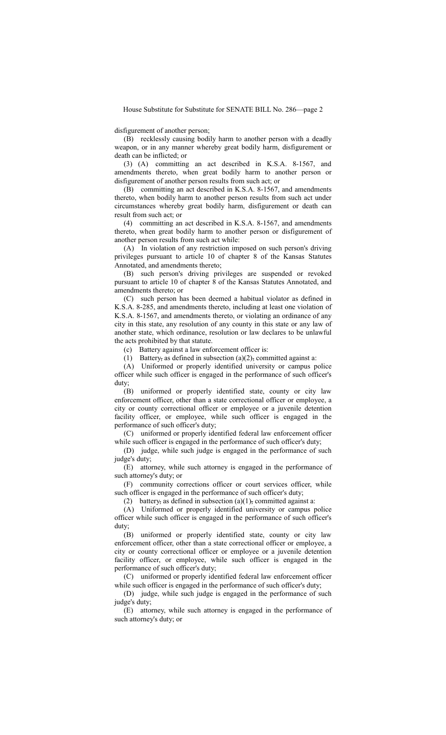disfigurement of another person;

(B) recklessly causing bodily harm to another person with a deadly weapon, or in any manner whereby great bodily harm, disfigurement or death can be inflicted; or

(3) (A) committing an act described in K.S.A. 8-1567, and amendments thereto, when great bodily harm to another person or disfigurement of another person results from such act; or

(B) committing an act described in K.S.A. 8-1567, and amendments thereto, when bodily harm to another person results from such act under circumstances whereby great bodily harm, disfigurement or death can result from such act; or

(4) committing an act described in K.S.A. 8-1567, and amendments thereto, when great bodily harm to another person or disfigurement of another person results from such act while:

(A) In violation of any restriction imposed on such person's driving privileges pursuant to article 10 of chapter 8 of the Kansas Statutes Annotated, and amendments thereto;

(B) such person's driving privileges are suspended or revoked pursuant to article 10 of chapter 8 of the Kansas Statutes Annotated, and amendments thereto; or

(C) such person has been deemed a habitual violator as defined in K.S.A. 8-285, and amendments thereto, including at least one violation of K.S.A. 8-1567, and amendments thereto, or violating an ordinance of any city in this state, any resolution of any county in this state or any law of another state, which ordinance, resolution or law declares to be unlawful the acts prohibited by that statute.

(c) Battery against a law enforcement officer is:

(1) Battery, as defined in subsection (a)(2), committed against a:

(A) Uniformed or properly identified university or campus police officer while such officer is engaged in the performance of such officer's duty;

(B) uniformed or properly identified state, county or city law enforcement officer, other than a state correctional officer or employee, a city or county correctional officer or employee or a juvenile detention facility officer, or employee, while such officer is engaged in the performance of such officer's duty;

(C) uniformed or properly identified federal law enforcement officer while such officer is engaged in the performance of such officer's duty;

(D) judge, while such judge is engaged in the performance of such judge's duty;

(E) attorney, while such attorney is engaged in the performance of such attorney's duty; or

(F) community corrections officer or court services officer, while such officer is engaged in the performance of such officer's duty;

(2) battery, as defined in subsection  $(a)(1)$ , committed against a:

(A) Uniformed or properly identified university or campus police officer while such officer is engaged in the performance of such officer's duty;

(B) uniformed or properly identified state, county or city law enforcement officer, other than a state correctional officer or employee, a city or county correctional officer or employee or a juvenile detention facility officer, or employee, while such officer is engaged in the performance of such officer's duty;

(C) uniformed or properly identified federal law enforcement officer while such officer is engaged in the performance of such officer's duty;

(D) judge, while such judge is engaged in the performance of such judge's duty;

(E) attorney, while such attorney is engaged in the performance of such attorney's duty; or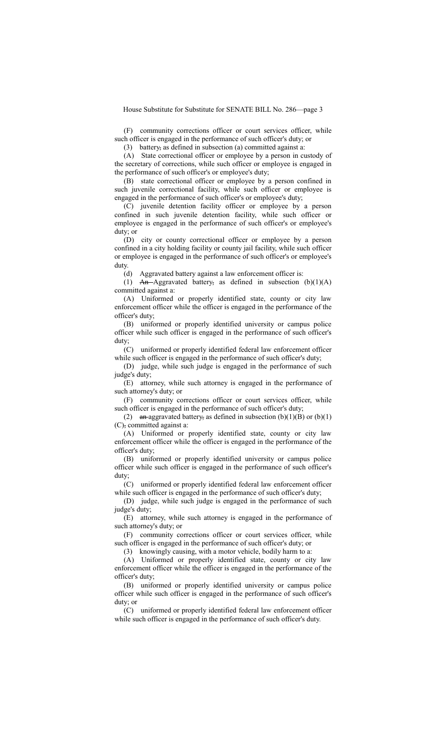(F) community corrections officer or court services officer, while such officer is engaged in the performance of such officer's duty; or

(3) battery, as defined in subsection (a) committed against a:

(A) State correctional officer or employee by a person in custody of the secretary of corrections, while such officer or employee is engaged in the performance of such officer's or employee's duty;

(B) state correctional officer or employee by a person confined in such juvenile correctional facility, while such officer or employee is engaged in the performance of such officer's or employee's duty;

(C) juvenile detention facility officer or employee by a person confined in such juvenile detention facility, while such officer or employee is engaged in the performance of such officer's or employee's duty; or

(D) city or county correctional officer or employee by a person confined in a city holding facility or county jail facility, while such officer or employee is engaged in the performance of such officer's or employee's duty.

(d) Aggravated battery against a law enforcement officer is:

(1) An-Aggravated battery, as defined in subsection  $(b)(1)(A)$ committed against a:

(A) Uniformed or properly identified state, county or city law enforcement officer while the officer is engaged in the performance of the officer's duty;

(B) uniformed or properly identified university or campus police officer while such officer is engaged in the performance of such officer's duty;

(C) uniformed or properly identified federal law enforcement officer while such officer is engaged in the performance of such officer's duty;

(D) judge, while such judge is engaged in the performance of such judge's duty;

(E) attorney, while such attorney is engaged in the performance of such attorney's duty; or

(F) community corrections officer or court services officer, while such officer is engaged in the performance of such officer's duty;

(2) an aggravated battery, as defined in subsection  $(b)(1)(B)$  or  $(b)(1)$ (C), committed against a:

(A) Uniformed or properly identified state, county or city law enforcement officer while the officer is engaged in the performance of the officer's duty;

(B) uniformed or properly identified university or campus police officer while such officer is engaged in the performance of such officer's duty;

(C) uniformed or properly identified federal law enforcement officer while such officer is engaged in the performance of such officer's duty;

(D) judge, while such judge is engaged in the performance of such judge's duty;

(E) attorney, while such attorney is engaged in the performance of such attorney's duty; or

(F) community corrections officer or court services officer, while such officer is engaged in the performance of such officer's duty; or

(3) knowingly causing, with a motor vehicle, bodily harm to a:

(A) Uniformed or properly identified state, county or city law enforcement officer while the officer is engaged in the performance of the officer's duty;

(B) uniformed or properly identified university or campus police officer while such officer is engaged in the performance of such officer's duty; or

(C) uniformed or properly identified federal law enforcement officer while such officer is engaged in the performance of such officer's duty.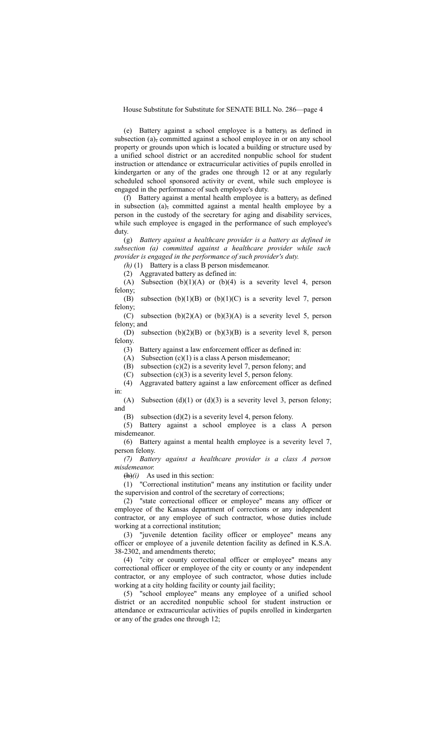(e) Battery against a school employee is a battery, as defined in subsection (a), committed against a school employee in or on any school property or grounds upon which is located a building or structure used by a unified school district or an accredited nonpublic school for student instruction or attendance or extracurricular activities of pupils enrolled in kindergarten or any of the grades one through 12 or at any regularly scheduled school sponsored activity or event, while such employee is engaged in the performance of such employee's duty.

(f) Battery against a mental health employee is a battery, as defined in subsection (a), committed against a mental health employee by a person in the custody of the secretary for aging and disability services, while such employee is engaged in the performance of such employee's duty.

(g) *Battery against a healthcare provider is a battery as defined in subsection (a) committed against a healthcare provider while such provider is engaged in the performance of such provider's duty.*

*(h)* (1) Battery is a class B person misdemeanor.

(2) Aggravated battery as defined in:

(A) Subsection  $(b)(1)(A)$  or  $(b)(4)$  is a severity level 4, person felony;

(B) subsection (b)(1)(B) or (b)(1)(C) is a severity level 7, person felony;

(C) subsection  $(b)(2)(A)$  or  $(b)(3)(A)$  is a severity level 5, person felony; and

(D) subsection  $(b)(2)(B)$  or  $(b)(3)(B)$  is a severity level 8, person felony.

(3) Battery against a law enforcement officer as defined in:

(A) Subsection  $(c)(1)$  is a class A person misdemeanor;

(B) subsection  $(c)(2)$  is a severity level 7, person felony; and

(C) subsection (c)(3) is a severity level 5, person felony.

(4) Aggravated battery against a law enforcement officer as defined in:

(A) Subsection  $(d)(1)$  or  $(d)(3)$  is a severity level 3, person felony; and

(B) subsection  $(d)(2)$  is a severity level 4, person felony.

(5) Battery against a school employee is a class A person misdemeanor.

(6) Battery against a mental health employee is a severity level 7, person felony.

*(7) Battery against a healthcare provider is a class A person misdemeanor.*

 $(h)(i)$  As used in this section:

 $(1)$  "Correctional institution" means any institution or facility under the supervision and control of the secretary of corrections;

(2) "state correctional officer or employee" means any officer or employee of the Kansas department of corrections or any independent contractor, or any employee of such contractor, whose duties include working at a correctional institution;

(3) "juvenile detention facility officer or employee" means any officer or employee of a juvenile detention facility as defined in K.S.A. 38-2302, and amendments thereto;

(4) "city or county correctional officer or employee" means any correctional officer or employee of the city or county or any independent contractor, or any employee of such contractor, whose duties include working at a city holding facility or county jail facility;

(5) "school employee" means any employee of a unified school district or an accredited nonpublic school for student instruction or attendance or extracurricular activities of pupils enrolled in kindergarten or any of the grades one through 12;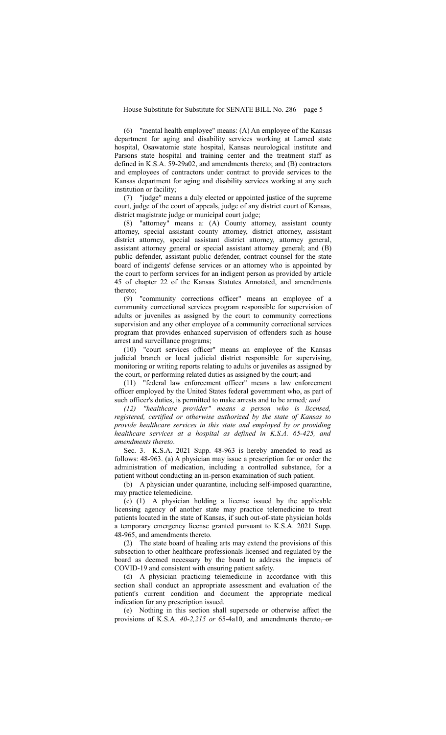(6) "mental health employee" means: (A) An employee of the Kansas department for aging and disability services working at Larned state hospital, Osawatomie state hospital, Kansas neurological institute and Parsons state hospital and training center and the treatment staff as defined in K.S.A. 59-29a02, and amendments thereto; and (B) contractors and employees of contractors under contract to provide services to the Kansas department for aging and disability services working at any such institution or facility;

(7) "judge" means a duly elected or appointed justice of the supreme court, judge of the court of appeals, judge of any district court of Kansas, district magistrate judge or municipal court judge;

(8) "attorney" means a: (A) County attorney, assistant county attorney, special assistant county attorney, district attorney, assistant district attorney, special assistant district attorney, attorney general, assistant attorney general or special assistant attorney general; and (B) public defender, assistant public defender, contract counsel for the state board of indigents' defense services or an attorney who is appointed by the court to perform services for an indigent person as provided by article 45 of chapter 22 of the Kansas Statutes Annotated, and amendments thereto;

(9) "community corrections officer" means an employee of a community correctional services program responsible for supervision of adults or juveniles as assigned by the court to community corrections supervision and any other employee of a community correctional services program that provides enhanced supervision of offenders such as house arrest and surveillance programs;

(10) "court services officer" means an employee of the Kansas judicial branch or local judicial district responsible for supervising, monitoring or writing reports relating to adults or juveniles as assigned by the court, or performing related duties as assigned by the court; and

(11) "federal law enforcement officer" means a law enforcement officer employed by the United States federal government who, as part of such officer's duties, is permitted to make arrests and to be armed*; and*

*(12) "healthcare provider" means a person who is licensed, registered, certified or otherwise authorized by the state of Kansas to provide healthcare services in this state and employed by or providing healthcare services at a hospital as defined in K.S.A. 65-425, and amendments thereto*.

Sec. 3. K.S.A. 2021 Supp. 48-963 is hereby amended to read as follows: 48-963. (a) A physician may issue a prescription for or order the administration of medication, including a controlled substance, for a patient without conducting an in-person examination of such patient.

(b) A physician under quarantine, including self-imposed quarantine, may practice telemedicine.

(c) (1) A physician holding a license issued by the applicable licensing agency of another state may practice telemedicine to treat patients located in the state of Kansas, if such out-of-state physician holds a temporary emergency license granted pursuant to K.S.A. 2021 Supp. 48-965, and amendments thereto.

(2) The state board of healing arts may extend the provisions of this subsection to other healthcare professionals licensed and regulated by the board as deemed necessary by the board to address the impacts of COVID-19 and consistent with ensuring patient safety.

(d) A physician practicing telemedicine in accordance with this section shall conduct an appropriate assessment and evaluation of the patient's current condition and document the appropriate medical indication for any prescription issued.

(e) Nothing in this section shall supersede or otherwise affect the provisions of K.S.A. 40-2,215 or 65-4a10, and amendments thereto, or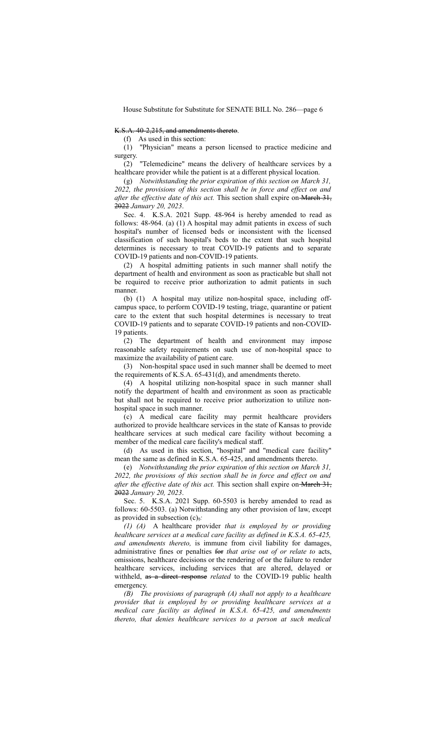#### K.S.A. 40-2,215, and amendments thereto.

(f) As used in this section:

(1) "Physician" means a person licensed to practice medicine and surgery.

(2) "Telemedicine" means the delivery of healthcare services by a healthcare provider while the patient is at a different physical location.

(g) *Notwithstanding the prior expiration of this section on March 31, 2022, the provisions of this section shall be in force and effect on and after the effective date of this act.* This section shall expire on March 31, 2022 *January 20, 2023*.

Sec. 4. K.S.A. 2021 Supp. 48-964 is hereby amended to read as follows: 48-964. (a) (1) A hospital may admit patients in excess of such hospital's number of licensed beds or inconsistent with the licensed classification of such hospital's beds to the extent that such hospital determines is necessary to treat COVID-19 patients and to separate COVID-19 patients and non-COVID-19 patients.

(2) A hospital admitting patients in such manner shall notify the department of health and environment as soon as practicable but shall not be required to receive prior authorization to admit patients in such manner.

(b) (1) A hospital may utilize non-hospital space, including offcampus space, to perform COVID-19 testing, triage, quarantine or patient care to the extent that such hospital determines is necessary to treat COVID-19 patients and to separate COVID-19 patients and non-COVID-19 patients.

(2) The department of health and environment may impose reasonable safety requirements on such use of non-hospital space to maximize the availability of patient care.

(3) Non-hospital space used in such manner shall be deemed to meet the requirements of K.S.A. 65-431(d), and amendments thereto.

(4) A hospital utilizing non-hospital space in such manner shall notify the department of health and environment as soon as practicable but shall not be required to receive prior authorization to utilize nonhospital space in such manner.

(c) A medical care facility may permit healthcare providers authorized to provide healthcare services in the state of Kansas to provide healthcare services at such medical care facility without becoming a member of the medical care facility's medical staff.

(d) As used in this section, "hospital" and "medical care facility" mean the same as defined in K.S.A. 65-425, and amendments thereto.

(e) *Notwithstanding the prior expiration of this section on March 31, 2022, the provisions of this section shall be in force and effect on and after the effective date of this act.* This section shall expire on-March 31, 2022 *January 20, 2023*.

Sec. 5. K.S.A. 2021 Supp. 60-5503 is hereby amended to read as follows: 60-5503. (a) Notwithstanding any other provision of law, except as provided in subsection (c),*:*

*(1) (A)* A healthcare provider *that is employed by or providing healthcare services at a medical care facility as defined in K.S.A. 65-425, and amendments thereto,* is immune from civil liability for damages, administrative fines or penalties for *that arise out of or relate to* acts, omissions, healthcare decisions or the rendering of or the failure to render healthcare services, including services that are altered, delayed or withheld, as a direct response *related* to the COVID-19 public health emergency.

*(B) The provisions of paragraph (A) shall not apply to a healthcare provider that is employed by or providing healthcare services at a medical care facility as defined in K.S.A. 65-425, and amendments thereto, that denies healthcare services to a person at such medical*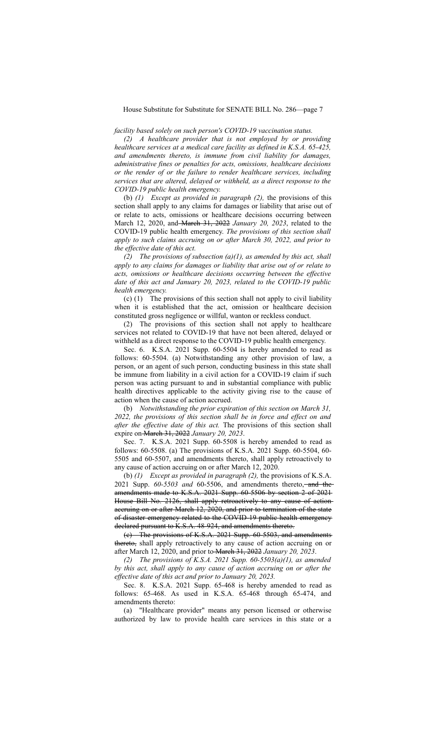*facility based solely on such person's COVID-19 vaccination status.*

*(2) A healthcare provider that is not employed by or providing healthcare services at a medical care facility as defined in K.S.A. 65-425, and amendments thereto, is immune from civil liability for damages, administrative fines or penalties for acts, omissions, healthcare decisions or the render of or the failure to render healthcare services, including services that are altered, delayed or withheld, as a direct response to the COVID-19 public health emergency.*

(b) *(1) Except as provided in paragraph (2),* the provisions of this section shall apply to any claims for damages or liability that arise out of or relate to acts, omissions or healthcare decisions occurring between March 12, 2020, and March 31, 2022 *January 20, 2023*, related to the COVID-19 public health emergency. *The provisions of this section shall apply to such claims accruing on or after March 30, 2022, and prior to the effective date of this act.*

*(2) The provisions of subsection (a)(1), as amended by this act, shall apply to any claims for damages or liability that arise out of or relate to acts, omissions or healthcare decisions occurring between the effective date of this act and January 20, 2023, related to the COVID-19 public health emergency.*

(c) (1) The provisions of this section shall not apply to civil liability when it is established that the act, omission or healthcare decision constituted gross negligence or willful, wanton or reckless conduct.

(2) The provisions of this section shall not apply to healthcare services not related to COVID-19 that have not been altered, delayed or withheld as a direct response to the COVID-19 public health emergency.

Sec. 6. K.S.A. 2021 Supp. 60-5504 is hereby amended to read as follows: 60-5504. (a) Notwithstanding any other provision of law, a person, or an agent of such person, conducting business in this state shall be immune from liability in a civil action for a COVID-19 claim if such person was acting pursuant to and in substantial compliance with public health directives applicable to the activity giving rise to the cause of action when the cause of action accrued.

(b) *Notwithstanding the prior expiration of this section on March 31, 2022, the provisions of this section shall be in force and effect on and after the effective date of this act.* The provisions of this section shall expire on March 31, 2022 *January 20, 2023*.

Sec. 7. K.S.A. 2021 Supp. 60-5508 is hereby amended to read as follows: 60-5508. (a) The provisions of K.S.A. 2021 Supp. 60-5504, 60- 5505 and 60-5507, and amendments thereto, shall apply retroactively to any cause of action accruing on or after March 12, 2020.

(b) *(1) Except as provided in paragraph (2),* the provisions of K.S.A. 2021 Supp. 60-5503 and 60-5506, and amendments thereto,—and theamendments made to K.S.A. 2021 Supp. 60-5506 by section 2 of 2021 House Bill No. 2126, shall apply retroactively to any cause of action accruing on or after March 12, 2020, and prior to termination of the state of disaster emergency related to the COVID-19 public health emergency declared pursuant to K.S.A. 48-924, and amendments thereto.

(c) The provisions of K.S.A. 2021 Supp. 60-5503, and amendments thereto, shall apply retroactively to any cause of action accruing on or after March 12, 2020, and prior to March 31, 2022 *January 20, 2023*.

*(2) The provisions of K.S.A. 2021 Supp. 60-5503(a)(1), as amended by this act, shall apply to any cause of action accruing on or after the effective date of this act and prior to January 20, 2023.*

Sec. 8. K.S.A. 2021 Supp. 65-468 is hereby amended to read as follows: 65-468. As used in K.S.A. 65-468 through 65-474, and amendments thereto:

(a) "Healthcare provider" means any person licensed or otherwise authorized by law to provide health care services in this state or a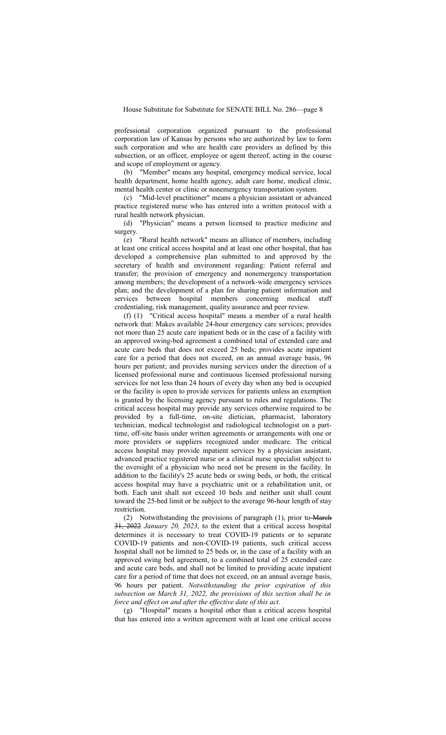professional corporation organized pursuant to the professional corporation law of Kansas by persons who are authorized by law to form such corporation and who are health care providers as defined by this subsection, or an officer, employee or agent thereof, acting in the course and scope of employment or agency.

(b) "Member" means any hospital, emergency medical service, local health department, home health agency, adult care home, medical clinic, mental health center or clinic or nonemergency transportation system.

(c) "Mid-level practitioner" means a physician assistant or advanced practice registered nurse who has entered into a written protocol with a rural health network physician.

(d) "Physician" means a person licensed to practice medicine and surgery.

(e) "Rural health network" means an alliance of members, including at least one critical access hospital and at least one other hospital, that has developed a comprehensive plan submitted to and approved by the secretary of health and environment regarding: Patient referral and transfer; the provision of emergency and nonemergency transportation among members; the development of a network-wide emergency services plan; and the development of a plan for sharing patient information and services between hospital members concerning medical staff credentialing, risk management, quality assurance and peer review.

(f) (1) "Critical access hospital" means a member of a rural health network that: Makes available 24-hour emergency care services; provides not more than 25 acute care inpatient beds or in the case of a facility with an approved swing-bed agreement a combined total of extended care and acute care beds that does not exceed 25 beds; provides acute inpatient care for a period that does not exceed, on an annual average basis, 96 hours per patient; and provides nursing services under the direction of a licensed professional nurse and continuous licensed professional nursing services for not less than 24 hours of every day when any bed is occupied or the facility is open to provide services for patients unless an exemption is granted by the licensing agency pursuant to rules and regulations. The critical access hospital may provide any services otherwise required to be provided by a full-time, on-site dietician, pharmacist, laboratory technician, medical technologist and radiological technologist on a parttime, off-site basis under written agreements or arrangements with one or more providers or suppliers recognized under medicare. The critical access hospital may provide inpatient services by a physician assistant, advanced practice registered nurse or a clinical nurse specialist subject to the oversight of a physician who need not be present in the facility. In addition to the facility's 25 acute beds or swing beds, or both, the critical access hospital may have a psychiatric unit or a rehabilitation unit, or both. Each unit shall not exceed 10 beds and neither unit shall count toward the 25-bed limit or be subject to the average 96-hour length of stay restriction.

(2) Notwithstanding the provisions of paragraph (1), prior to March 31, 2022 *January 20, 2023*, to the extent that a critical access hospital determines it is necessary to treat COVID-19 patients or to separate COVID-19 patients and non-COVID-19 patients, such critical access hospital shall not be limited to 25 beds or, in the case of a facility with an approved swing bed agreement, to a combined total of 25 extended care and acute care beds, and shall not be limited to providing acute inpatient care for a period of time that does not exceed, on an annual average basis, 96 hours per patient. *Notwithstanding the prior expiration of this subsection on March 31, 2022, the provisions of this section shall be in force and effect on and after the effective date of this act.*

(g) "Hospital" means a hospital other than a critical access hospital that has entered into a written agreement with at least one critical access